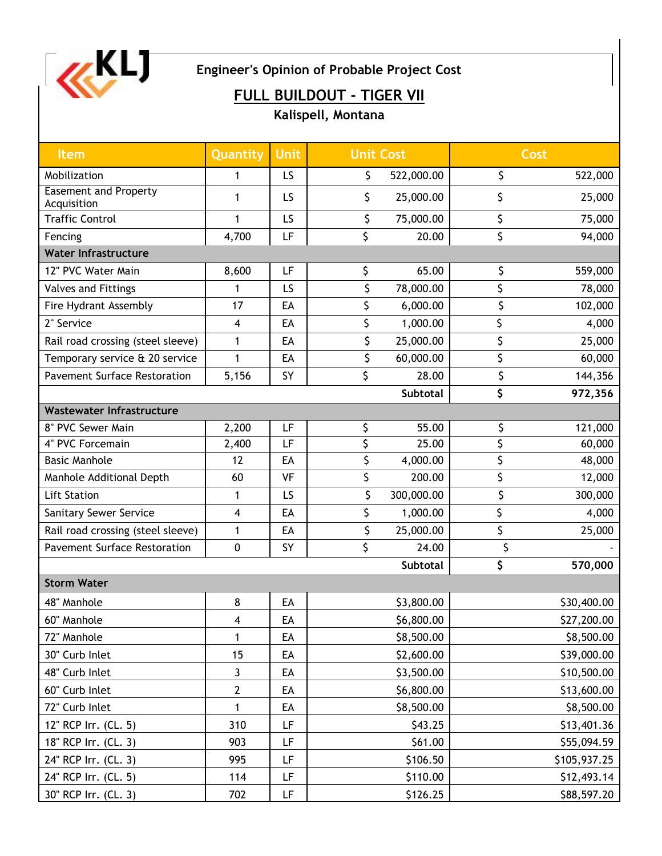

**Engineer's Opinion of Probable Project Cost**

## **FULL BUILDOUT - TIGER VII**

**Kalispell, Montana**

| Item                                        | Quantity     | <b>Unit</b> | <b>Unit Cost</b> | Cost          |
|---------------------------------------------|--------------|-------------|------------------|---------------|
| Mobilization                                | 1            | LS          | \$<br>522,000.00 | \$<br>522,000 |
| <b>Easement and Property</b><br>Acquisition | 1            | LS          | \$<br>25,000.00  | \$<br>25,000  |
| <b>Traffic Control</b>                      | 1            | LS          | \$<br>75,000.00  | \$<br>75,000  |
| Fencing                                     | 4,700        | LF          | \$<br>20.00      | \$<br>94,000  |
| <b>Water Infrastructure</b>                 |              |             |                  |               |
| 12" PVC Water Main                          | 8,600        | LF          | \$<br>65.00      | \$<br>559,000 |
| Valves and Fittings                         |              | LS          | \$<br>78,000.00  | \$<br>78,000  |
| Fire Hydrant Assembly                       | 17           | EA          | \$<br>6,000.00   | \$<br>102,000 |
| 2" Service                                  | 4            | EA          | \$<br>1,000.00   | \$<br>4,000   |
| Rail road crossing (steel sleeve)           | 1            | EA          | \$<br>25,000.00  | \$<br>25,000  |
| Temporary service & 20 service              | 1            | EA          | \$<br>60,000.00  | \$<br>60,000  |
| <b>Pavement Surface Restoration</b>         | 5,156        | SY          | \$<br>28.00      | \$<br>144,356 |
|                                             |              |             | <b>Subtotal</b>  | \$<br>972,356 |
| <b>Wastewater Infrastructure</b>            |              |             |                  |               |
| 8" PVC Sewer Main                           | 2,200        | LF          | \$<br>55.00      | \$<br>121,000 |
| 4" PVC Forcemain                            | 2,400        | LF          | \$<br>25.00      | \$<br>60,000  |
| <b>Basic Manhole</b>                        | 12           | EA          | \$<br>4,000.00   | \$<br>48,000  |
| Manhole Additional Depth                    | 60           | VF          | \$<br>200.00     | \$<br>12,000  |
| <b>Lift Station</b>                         | 1            | LS          | \$<br>300,000.00 | \$<br>300,000 |
| <b>Sanitary Sewer Service</b>               | 4            | EA          | \$<br>1,000.00   | \$<br>4,000   |
| Rail road crossing (steel sleeve)           | 1            | EA          | \$<br>25,000.00  | \$<br>25,000  |
| <b>Pavement Surface Restoration</b>         | $\pmb{0}$    | <b>SY</b>   | \$<br>24.00      | \$            |
|                                             |              |             | <b>Subtotal</b>  | \$<br>570,000 |
| <b>Storm Water</b>                          |              |             |                  |               |
| 48" Manhole                                 | 8            | EA          | \$3,800.00       | \$30,400.00   |
| 60" Manhole                                 | 4            | EA          | \$6,800.00       | \$27,200.00   |
| 72" Manhole                                 | 1            | EA          | \$8,500.00       | \$8,500.00    |
| 30" Curb Inlet                              | 15           | EA          | \$2,600.00       | \$39,000.00   |
| 48" Curb Inlet                              | 3            | EA          | \$3,500.00       | \$10,500.00   |
| 60" Curb Inlet                              | $\mathbf{2}$ | EA          | \$6,800.00       | \$13,600.00   |
| 72" Curb Inlet                              | $\mathbf{1}$ | EA          | \$8,500.00       | \$8,500.00    |
| 12" RCP Irr. (CL. 5)                        | 310          | LF          | \$43.25          | \$13,401.36   |
| 18" RCP Irr. (CL. 3)                        | 903          | LF          | \$61.00          | \$55,094.59   |
| 24" RCP Irr. (CL. 3)                        | 995          | LF          | \$106.50         | \$105,937.25  |
| 24" RCP Irr. (CL. 5)                        | 114          | LF          | \$110.00         | \$12,493.14   |
| 30" RCP Irr. (CL. 3)                        | 702          | LF          | \$126.25         | \$88,597.20   |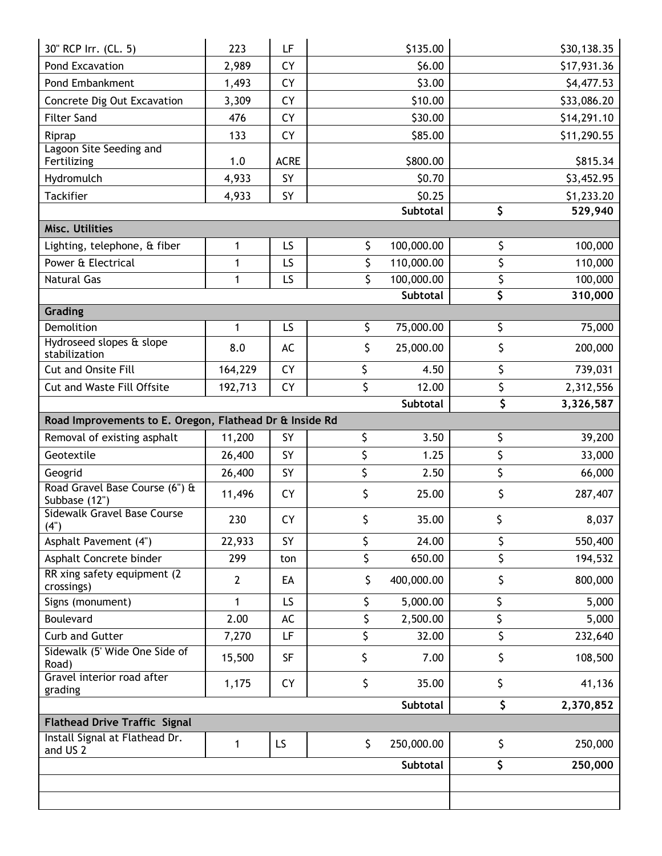| 30" RCP Irr. (CL. 5)                                    | 223            | LF                |    | \$135.00         |     | \$30,138.35           |
|---------------------------------------------------------|----------------|-------------------|----|------------------|-----|-----------------------|
| Pond Excavation                                         | 2,989          | CY                |    | \$6.00           |     | \$17,931.36           |
| Pond Embankment                                         | 1,493          | <b>CY</b>         |    | \$3.00           |     | \$4,477.53            |
| Concrete Dig Out Excavation                             | 3,309          | <b>CY</b>         |    | \$10.00          |     | \$33,086.20           |
| <b>Filter Sand</b>                                      | 476            | CY                |    | \$30.00          |     | \$14,291.10           |
| Riprap                                                  | 133            | <b>CY</b>         |    | \$85.00          |     | \$11,290.55           |
| Lagoon Site Seeding and                                 |                |                   |    |                  |     |                       |
| Fertilizing                                             | 1.0            | <b>ACRE</b><br>SY |    | \$800.00         |     | \$815.34              |
| Hydromulch<br><b>Tackifier</b>                          | 4,933          | SY                |    | \$0.70<br>\$0.25 |     | \$3,452.95            |
|                                                         | 4,933          |                   |    | Subtotal         | \$  | \$1,233.20<br>529,940 |
| Misc. Utilities                                         |                |                   |    |                  |     |                       |
| Lighting, telephone, & fiber                            | 1              | LS                | \$ | 100,000.00       | \$  | 100,000               |
| Power & Electrical                                      | 1              | LS                | \$ | 110,000.00       | \$  | 110,000               |
| <b>Natural Gas</b>                                      | 1              | LS                | \$ | 100,000.00       | \$  | 100,000               |
|                                                         |                |                   |    | <b>Subtotal</b>  | \$  | 310,000               |
| Grading                                                 |                |                   |    |                  |     |                       |
| Demolition                                              | 1              | LS                | \$ | 75,000.00        | \$  | 75,000                |
| Hydroseed slopes & slope<br>stabilization               | 8.0            | AC                | \$ | 25,000.00        | \$  | 200,000               |
| <b>Cut and Onsite Fill</b>                              | 164,229        | <b>CY</b>         | \$ | 4.50             | \$  | 739,031               |
| <b>Cut and Waste Fill Offsite</b>                       | 192,713        | <b>CY</b>         | \$ | 12.00            | \$  | 2,312,556             |
|                                                         |                |                   |    | <b>Subtotal</b>  | \$  | 3,326,587             |
| Road Improvements to E. Oregon, Flathead Dr & Inside Rd |                |                   |    |                  |     |                       |
| Removal of existing asphalt                             | 11,200         | SY                | \$ | 3.50             | \$  | 39,200                |
| Geotextile                                              | 26,400         | SY                | \$ | 1.25             | \$  | 33,000                |
| Geogrid                                                 | 26,400         | SY                | \$ | 2.50             | \$  | 66,000                |
| Road Gravel Base Course (6") &<br>Subbase (12")         | 11,496         | <b>CY</b>         | \$ | 25.00            | \$  | 287,407               |
| Sidewalk Gravel Base Course<br>(4")                     | 230            | <b>CY</b>         | \$ | 35.00            | \$. | 8,037                 |
| Asphalt Pavement (4")                                   | 22,933         | SY                | \$ | 24.00            | \$  | 550,400               |
| Asphalt Concrete binder                                 | 299            | ton               | \$ | 650.00           | \$  | 194,532               |
| RR xing safety equipment (2)<br>crossings)              | $\overline{2}$ | EA                | \$ | 400,000.00       | \$  | 800,000               |
| Signs (monument)                                        | 1              | LS                | \$ | 5,000.00         | \$  | 5,000                 |
| Boulevard                                               | 2.00           | AC                | \$ | 2,500.00         | \$  | 5,000                 |
| Curb and Gutter                                         | 7,270          | LF                | \$ | 32.00            | \$  | 232,640               |
| Sidewalk (5' Wide One Side of<br>Road)                  | 15,500         | <b>SF</b>         | \$ | 7.00             | \$  | 108,500               |
| Gravel interior road after<br>grading                   | 1,175          | <b>CY</b>         | \$ | 35.00            | \$  | 41,136                |
|                                                         |                |                   |    | Subtotal         | \$  | 2,370,852             |
| <b>Flathead Drive Traffic Signal</b>                    |                |                   |    |                  |     |                       |
| Install Signal at Flathead Dr.<br>and US <sub>2</sub>   | 1              | LS                | \$ | 250,000.00       | \$  | 250,000               |
|                                                         |                |                   |    | Subtotal         | \$  | 250,000               |
|                                                         |                |                   |    |                  |     |                       |
|                                                         |                |                   |    |                  |     |                       |
|                                                         |                |                   |    |                  |     |                       |